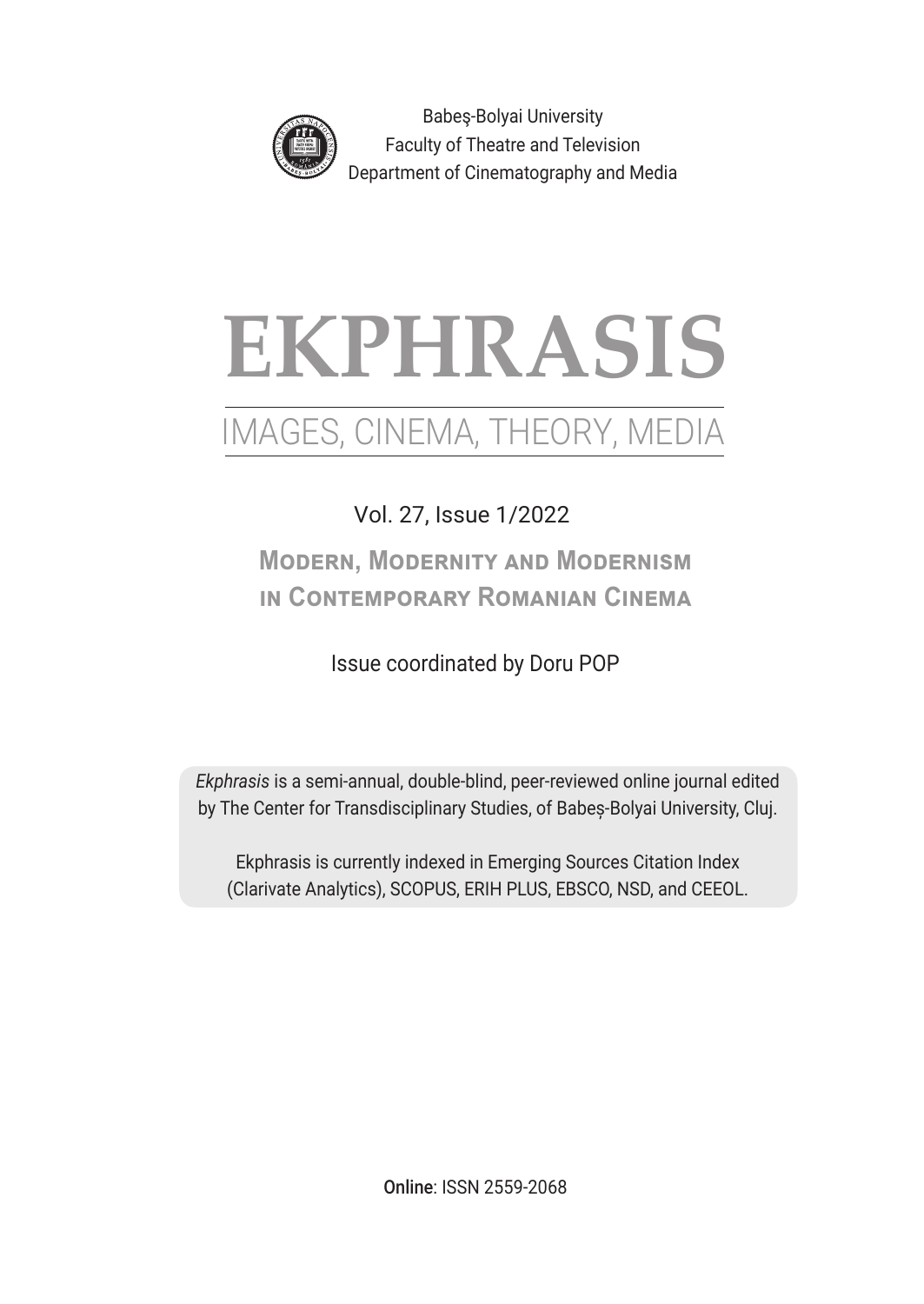

Babeş-Bolyai University Faculty of Theatre and Television Department of Cinematography and Media

# **EKPHRASIS**

## IMAGES, CINEMA, THEORY, MEDIA

## Vol. 27, Issue 1/2022

## **Modern, Modernity and Modernism in Contemporary Romanian Cinema**

### Issue coordinated by Doru POP

*Ekphrasis* is a semi-annual, double-blind, peer-reviewed online journal edited by The Center for Transdisciplinary Studies, of Babeș-Bolyai University, Cluj.

Ekphrasis is currently indexed in Emerging Sources Citation Index (Clarivate Analytics), SCOPUS, ERIH PLUS, EBSCO, NSD, and CEEOL.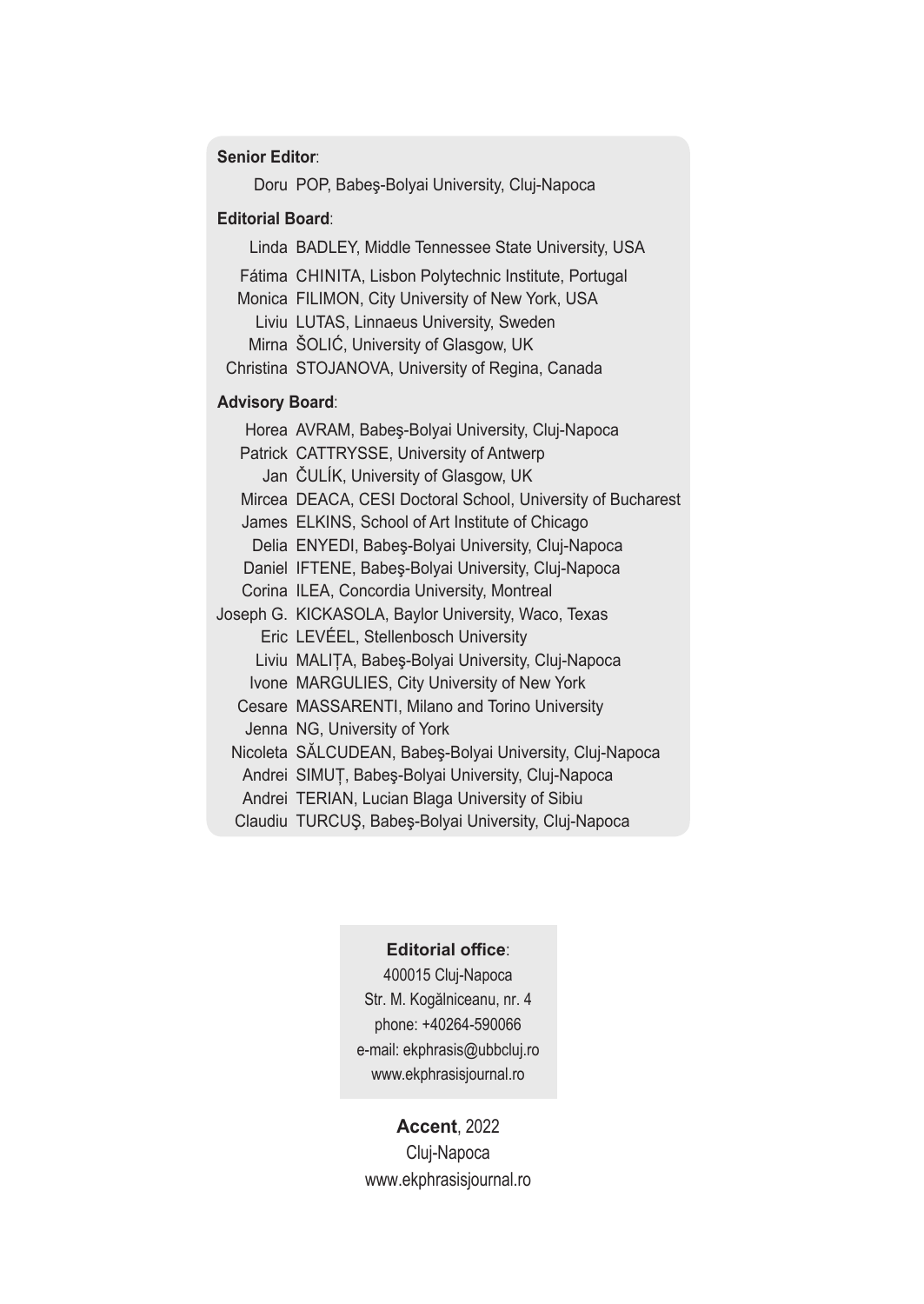#### **Senior Editor**:

 Doru POP, Babeş-Bolyai University, Cluj-Napoca

#### **Editorial Board**:

Linda BADLEY, Middle Tennessee State University, USA Fátima CHINITA, Lisbon Polytechnic Institute, Portugal Monica FILIMON, City University of New York, USA Liviu LUTAS, Linnaeus University, Sweden Mirna ŠOLIĆ, University of Glasgow, UK Christina STOJANOVA, University of Regina, Canada **Advisory Board**: Horea AVRAM, Babeş-Bolyai University, Cluj-Napoca Patrick CATTRYSSE, University of Antwerp Jan ČULÍK, University of Glasgow, UK Mircea DEACA, CESI Doctoral School, University of Bucharest James ELKINS, School of Art Institute of Chicago Delia ENYEDI, Babeş-Bolyai University, Cluj-Napoca Daniel IFTENE, Babeş-Bolyai University, Cluj-Napoca Corina ILEA, Concordia University, Montreal Joseph G. KICKASOLA, Baylor University, Waco, Texas Eric LEVÉEL, Stellenbosch University Liviu MALIȚA, Babeş-Bolyai University, Cluj-Napoca Ivone MARGULIES, City University of New York Cesare MASSARENTI, Milano and Torino University Jenna NG, University of York Nicoleta SĂLCUDEAN, Babeş-Bolyai University, Cluj-Napoca Andrei SIMUȚ, Babeş-Bolyai University, Cluj-Napoca Andrei TERIAN, Lucian Blaga University of Sibiu

 Claudiu TURCUŞ, Babeş-Bolyai University, Cluj-Napoca

#### **Editorial office**:

400015 Cluj-Napoca Str. M. Kogălniceanu, nr. 4 phone: +40264-590066 e-mail: ekphrasis@ubbcluj.ro www.ekphrasisjournal.ro

#### **Accent**, 2022

Cluj-Napoca www.ekphrasisjournal.ro